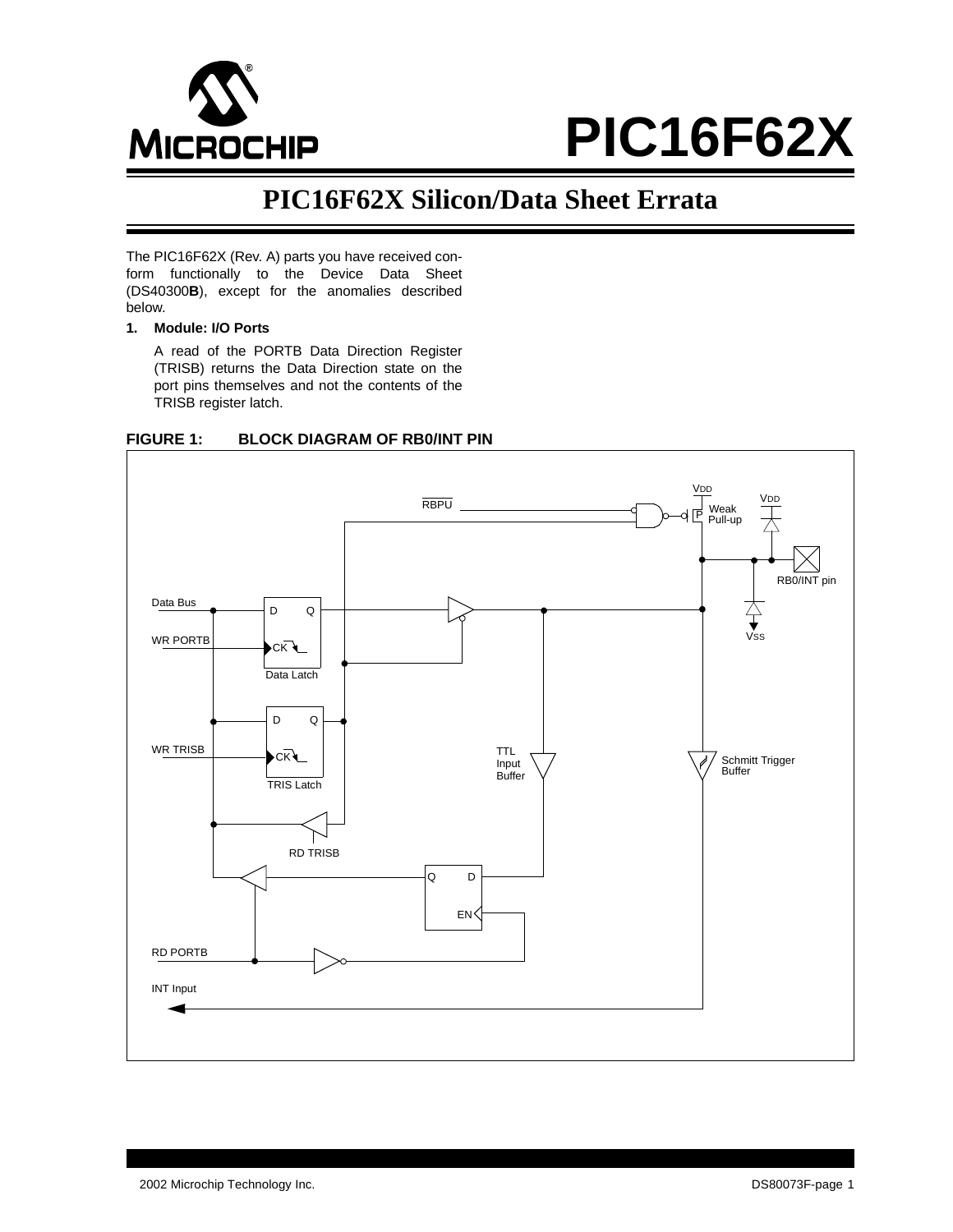

# **PIC16F62X**

# **PIC16F62X Silicon/Data Sheet Errata**

The PIC16F62X (Rev. A) parts you have received conform functionally to the Device Data Sheet (DS40300**B**), except for the anomalies described below.

# **1. Module: I/O Ports**

A read of the PORTB Data Direction Register (TRISB) returns the Data Direction state on the port pins themselves and not the contents of the TRISB register latch.



# **FIGURE 1: BLOCK DIAGRAM OF RB0/INT PIN**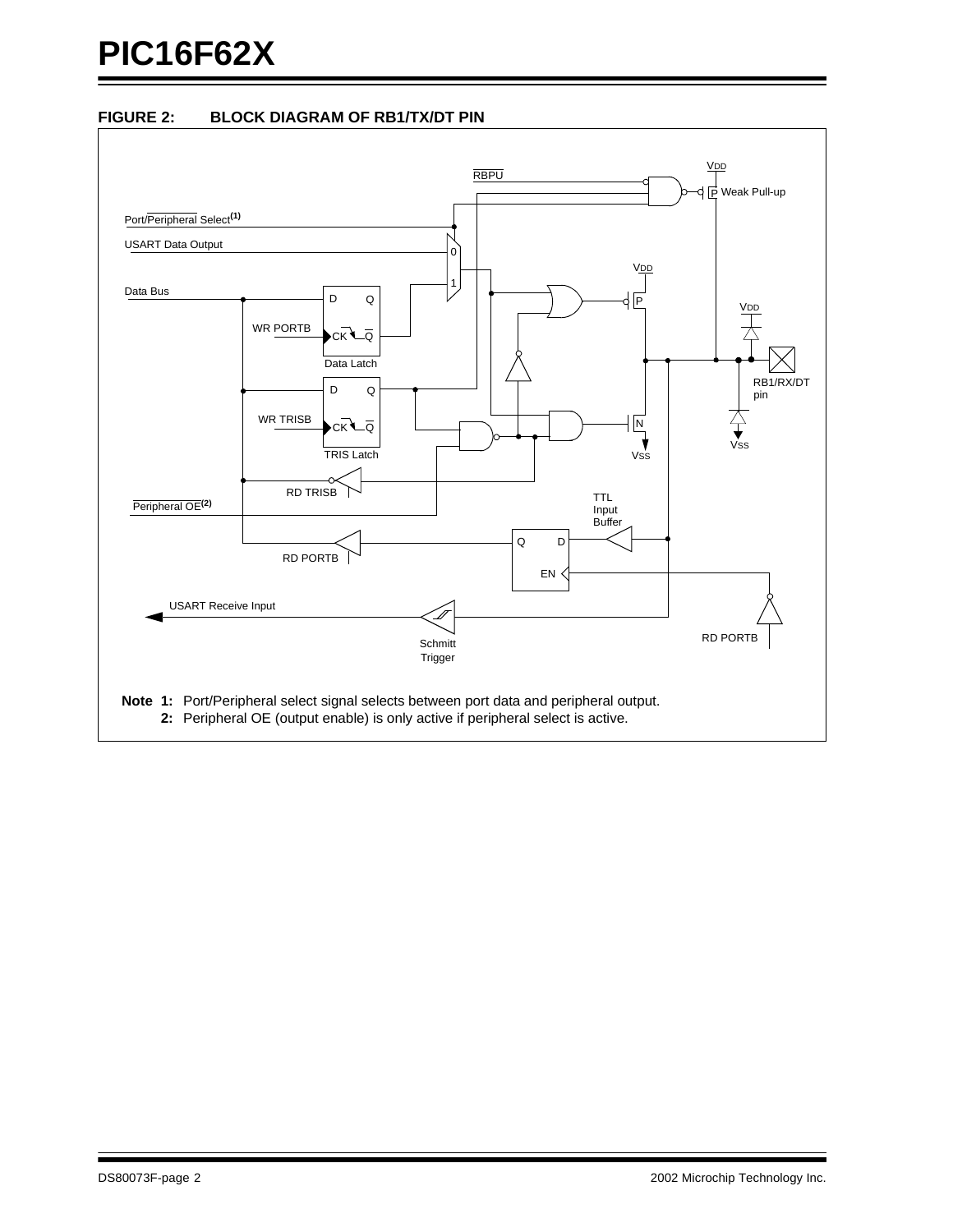# **FIGURE 2: BLOCK DIAGRAM OF RB1/TX/DT PIN**

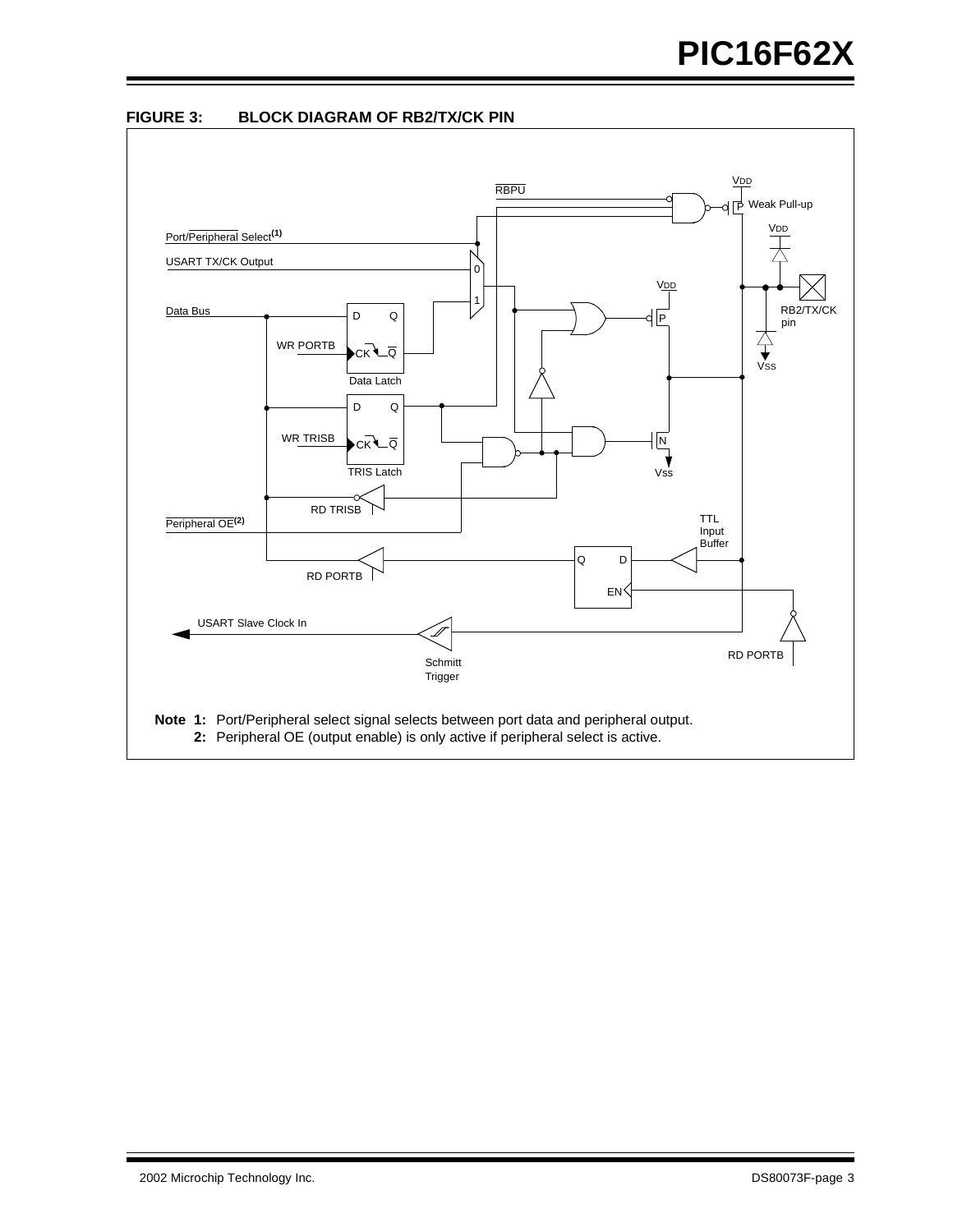

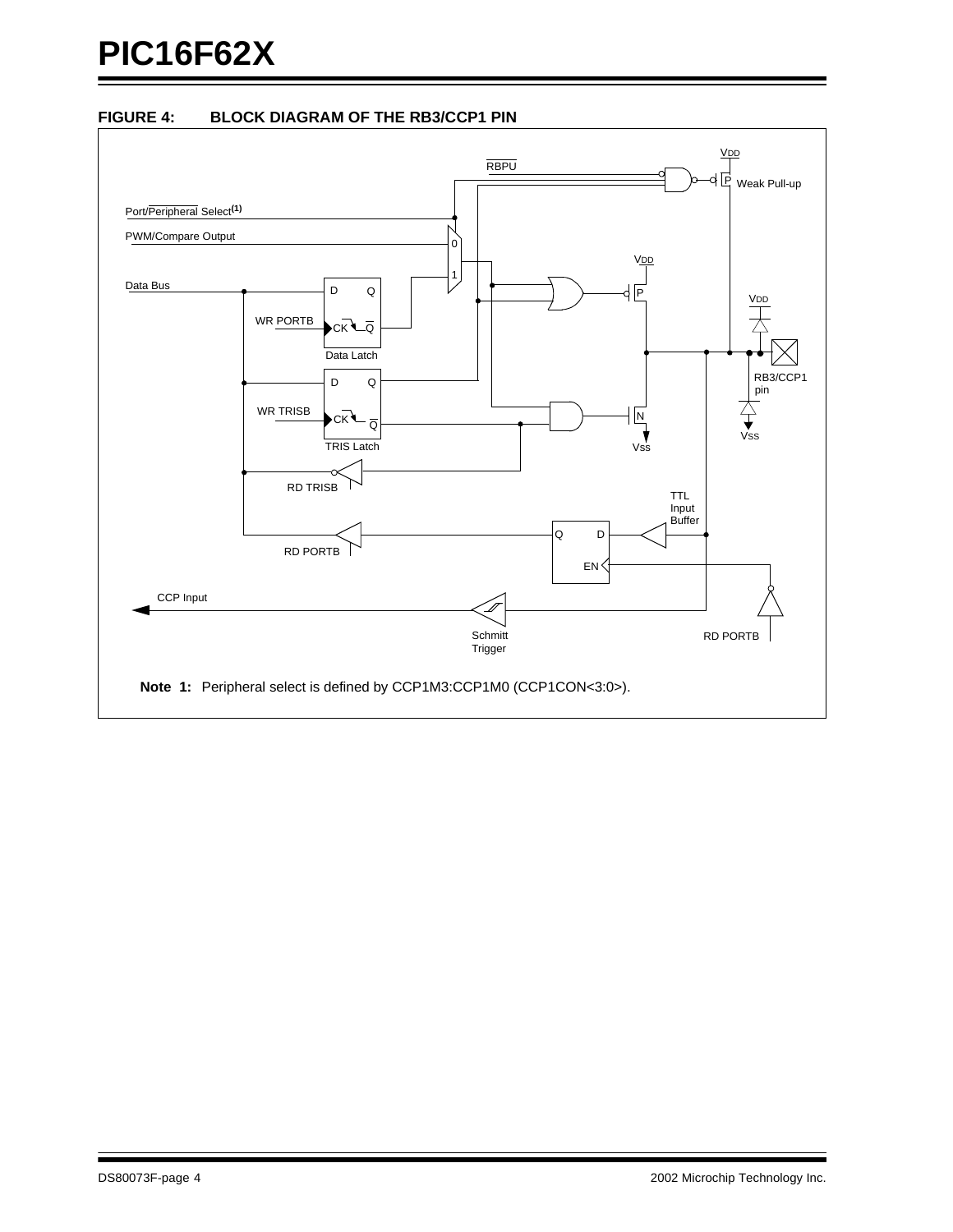# **FIGURE 4: BLOCK DIAGRAM OF THE RB3/CCP1 PIN**

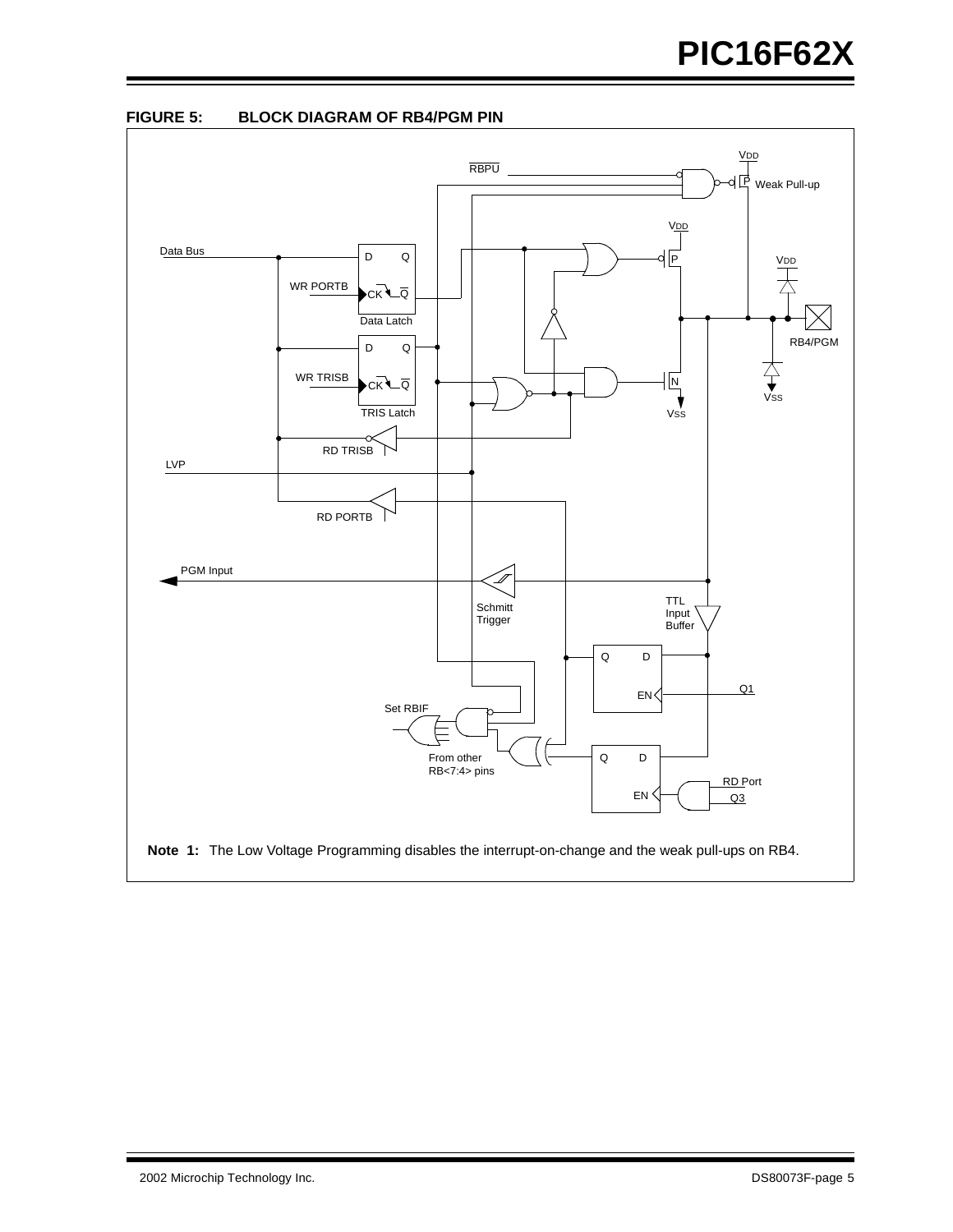

**FIGURE 5: BLOCK DIAGRAM OF RB4/PGM PIN**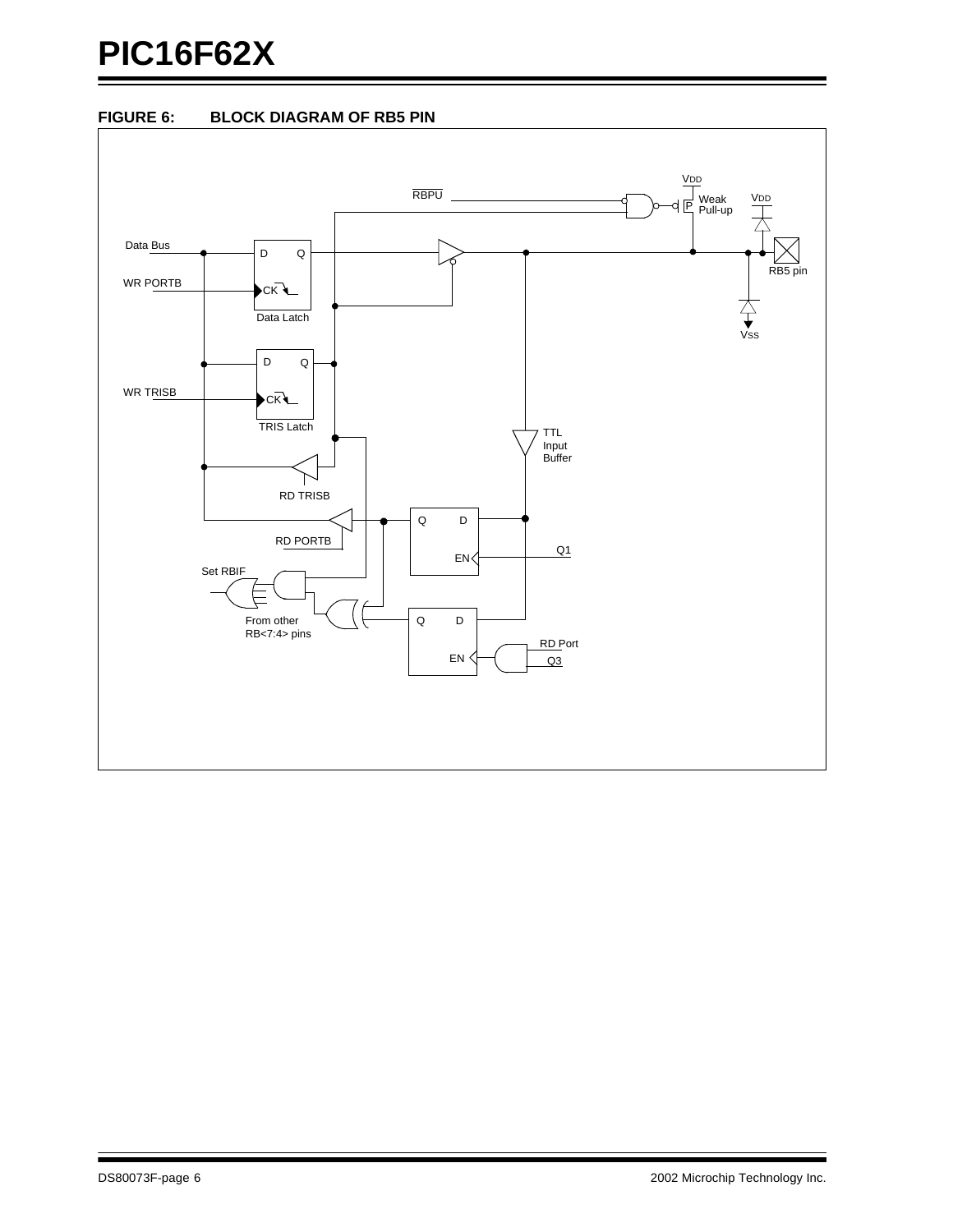# **PIC16F62X**



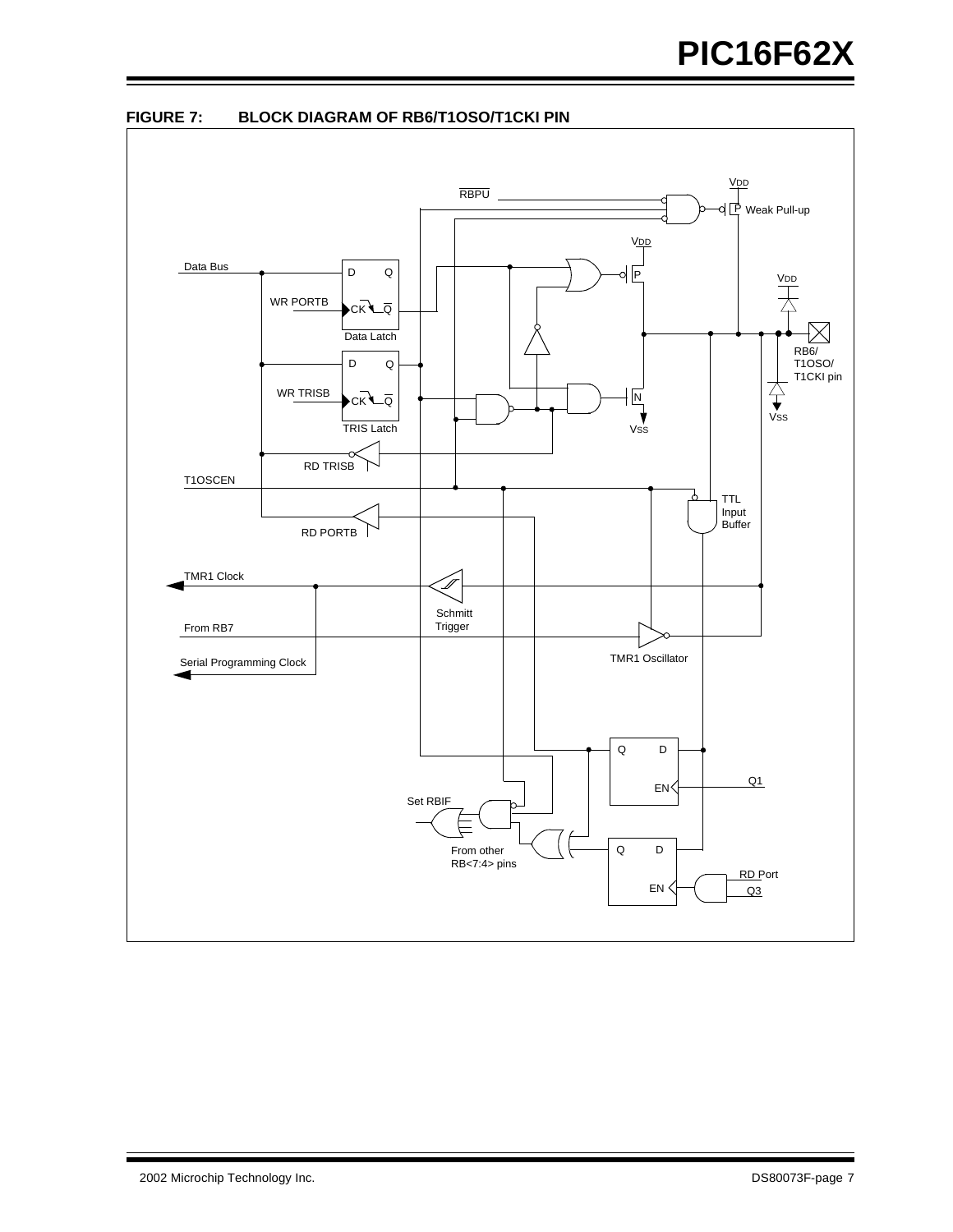

**FIGURE 7: BLOCK DIAGRAM OF RB6/T1OSO/T1CKI PIN**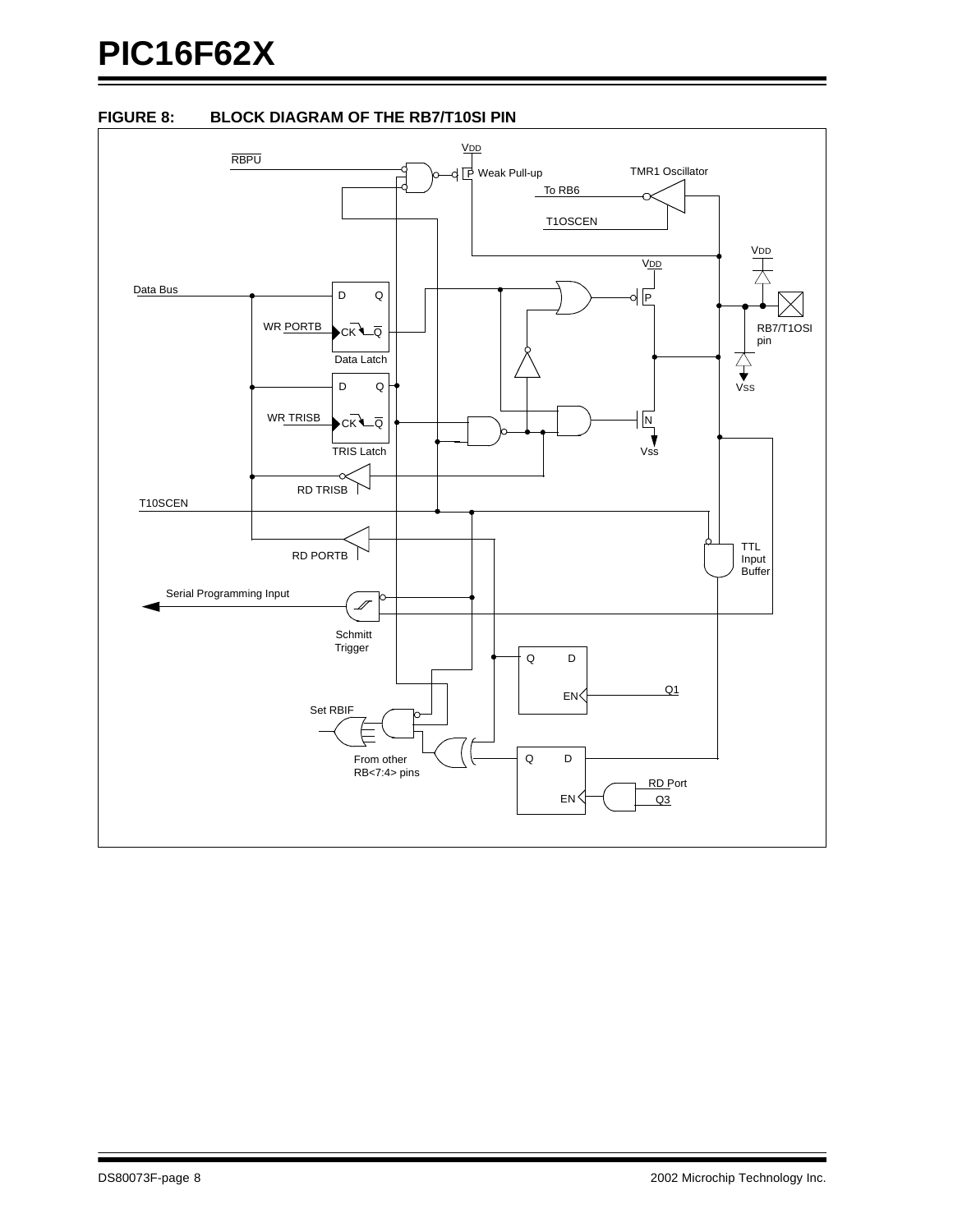# **PIC16F62X**



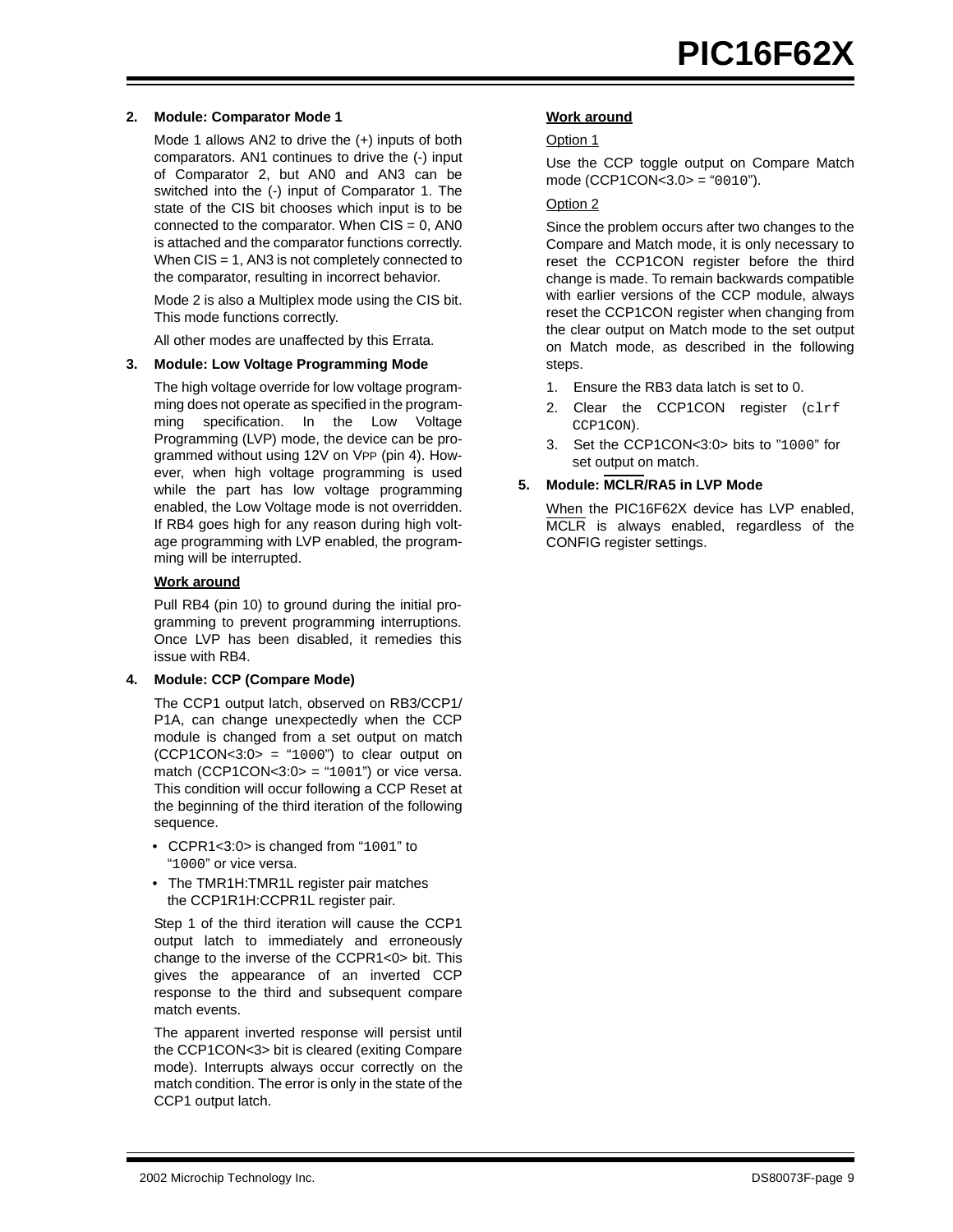# **2. Module: Comparator Mode 1**

Mode 1 allows AN2 to drive the (+) inputs of both comparators. AN1 continues to drive the (-) input of Comparator 2, but AN0 and AN3 can be switched into the (-) input of Comparator 1. The state of the CIS bit chooses which input is to be connected to the comparator. When  $CIS = 0$ , ANO is attached and the comparator functions correctly. When CIS = 1, AN3 is not completely connected to the comparator, resulting in incorrect behavior.

Mode 2 is also a Multiplex mode using the CIS bit. This mode functions correctly.

All other modes are unaffected by this Errata.

# <span id="page-8-0"></span>**3. Module: Low Voltage Programming Mode**

The high voltage override for low voltage programming does not operate as specified in the programming specification. In the Low Voltage Programming (LVP) mode, the device can be programmed without using 12V on VPP (pin 4). However, when high voltage programming is used while the part has low voltage programming enabled, the Low Voltage mode is not overridden. If RB4 goes high for any reason during high voltage programming with LVP enabled, the programming will be interrupted.

# **Work around**

Pull RB4 (pin 10) to ground during the initial programming to prevent programming interruptions. Once LVP has been disabled, it remedies this issue with RB4.

# **4. Module: CCP (Compare Mode)**

The CCP1 output latch, observed on RB3/CCP1/ P1A, can change unexpectedly when the CCP module is changed from a set output on match  $(CCP1CON < 3:0 > = "1000")$  to clear output on match (CCP1CON< $3:0>$  = "1001") or vice versa. This condition will occur following a CCP Reset at the beginning of the third iteration of the following sequence.

- CCPR1<3:0> is changed from "1001" to "1000" or vice versa.
- The TMR1H:TMR1L register pair matches the CCP1R1H:CCPR1L register pair.

Step 1 of the third iteration will cause the CCP1 output latch to immediately and erroneously change to the inverse of the CCPR1<0> bit. This gives the appearance of an inverted CCP response to the third and subsequent compare match events.

The apparent inverted response will persist until the CCP1CON<3> bit is cleared (exiting Compare mode). Interrupts always occur correctly on the match condition. The error is only in the state of the CCP1 output latch.

# **Work around**

# Option 1

Use the CCP toggle output on Compare Match mode (CCP1CON<3.0> = "0010").

# Option 2

Since the problem occurs after two changes to the Compare and Match mode, it is only necessary to reset the CCP1CON register before the third change is made. To remain backwards compatible with earlier versions of the CCP module, always reset the CCP1CON register when changing from the clear output on Match mode to the set output on Match mode, as described in the following steps.

- 1. Ensure the RB3 data latch is set to 0.
- 2. Clear the CCP1CON register (clrf CCP1CON).
- 3. Set the CCP1CON<3:0> bits to "1000" for set output on match.

# **5. Module: MCLR/RA5 in LVP Mode**

When the PIC16F62X device has LVP enabled, MCLR is always enabled, regardless of the CONFIG register settings.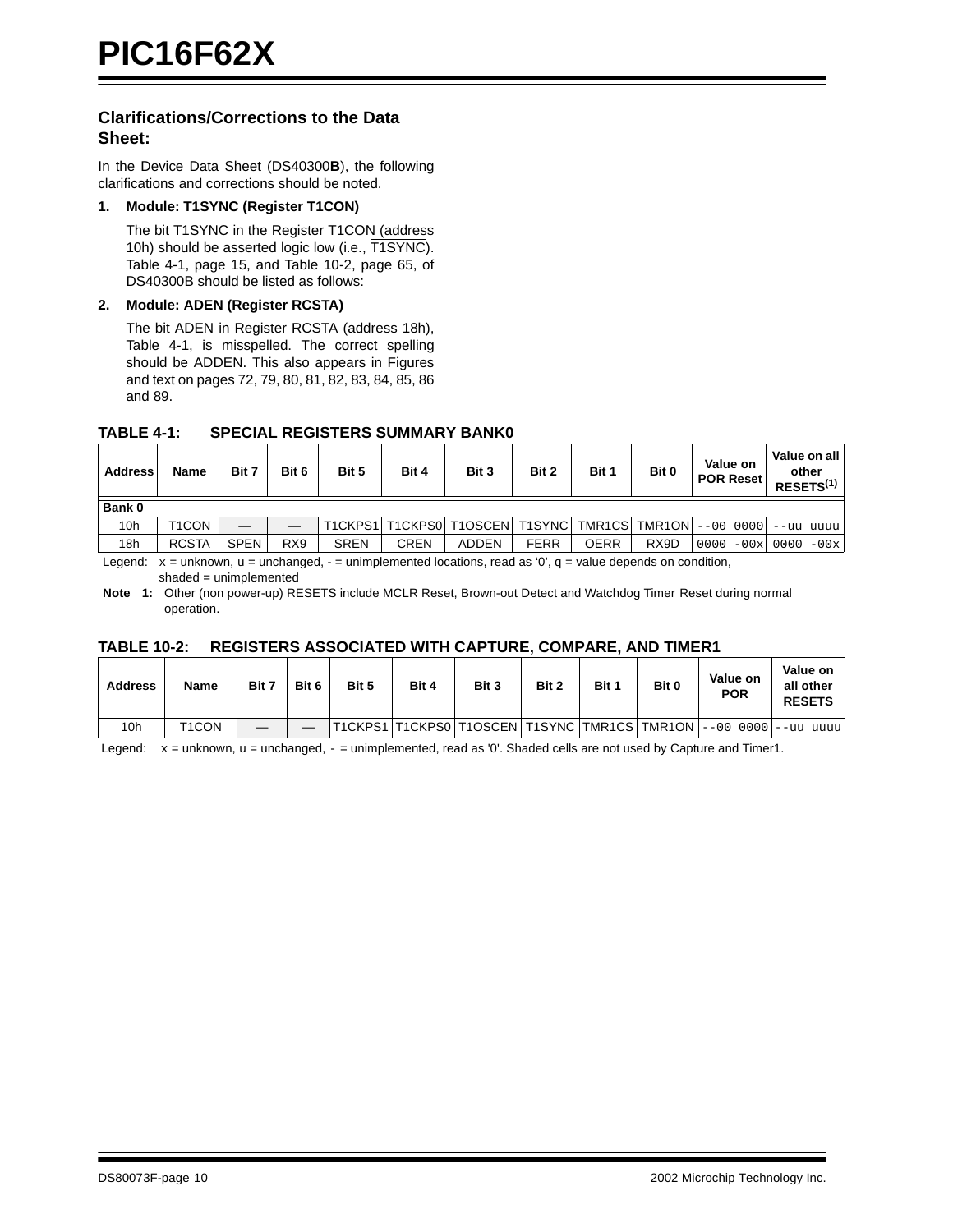# **Clarifications/Corrections to the Data Sheet:**

In the Device Data Sheet (DS40300**B**), the following clarifications and corrections should be noted.

# **1. Module: T1SYNC (Register T1CON)**

The bit T1SYNC in the Register T1CON (address 10h) should be asserted logic low (i.e., T1SYNC). Table 4-1, page 15, and Table 10-2, page 65, of DS40300B should be listed as follows:

# **2. Module: ADEN (Register RCSTA)**

The bit ADEN in Register RCSTA (address 18h), Table 4-1, is misspelled. The correct spelling should be ADDEN. This also appears in Figures and text on pages 72, 79, 80, 81, 82, 83, 84, 85, 86 and 89.

# **TABLE 4-1: SPECIAL REGISTERS SUMMARY BANK0**

| <b>Address</b>  | <b>Name</b>                                                                                                           | Bit 7       | Bit 6           | Bit 5       | Bit 4       | Bit 3                                                            | Bit 2       | Bit 1       | Bit 0 | Value on<br><b>POR Reset</b> | Value on all<br>other<br>RESETS <sup>(1)</sup> |
|-----------------|-----------------------------------------------------------------------------------------------------------------------|-------------|-----------------|-------------|-------------|------------------------------------------------------------------|-------------|-------------|-------|------------------------------|------------------------------------------------|
| Bank 0          |                                                                                                                       |             |                 |             |             |                                                                  |             |             |       |                              |                                                |
| 10 <sub>h</sub> | T <sub>1</sub> CON                                                                                                    |             |                 |             |             | T1CKPS1 T1CKPS0 T1OSCEN T1SYNC TMR1CS TMR1ON --00 0000 --uu uuuu |             |             |       |                              |                                                |
| 18h             | <b>RCSTA</b>                                                                                                          | <b>SPEN</b> | RX <sub>9</sub> | <b>SREN</b> | <b>CREN</b> | ADDEN                                                            | <b>FERR</b> | <b>OERR</b> | RX9D  | 0000                         | $-00x$ 0000 $-00x$                             |
|                 | Legend: $x =$ unknown, $u =$ unchanged, $-$ = unimplemented locations, read as '0', $q =$ value depends on condition, |             |                 |             |             |                                                                  |             |             |       |                              |                                                |

 $shaded = unimplemented$ 

**Note 1:** Other (non power-up) RESETS include MCLR Reset, Brown-out Detect and Watchdog Timer Reset during normal operation.

# **TABLE 10-2: REGISTERS ASSOCIATED WITH CAPTURE, COMPARE, AND TIMER1**

| <b>Address</b> | <b>Name</b>        | Bit 7 | Bit 6 | Bit 5 | Bit 4 | Bit 3 | Bit 2 | Bit 1 | Bit 0 | Value on<br><b>POR</b>                                             | Value on<br>all other<br><b>RESETS</b> |
|----------------|--------------------|-------|-------|-------|-------|-------|-------|-------|-------|--------------------------------------------------------------------|----------------------------------------|
| 10h            | T <sub>1</sub> CON | _     |       |       |       |       |       |       |       | T1CKPS1 T1CKPS0 T1OSCEN T1SYNC TMR1CS TMR1ON  --00 0000  --uu uuuu |                                        |

Legend:  $x =$  unknown,  $u =$  unchanged,  $-$  = unimplemented, read as '0'. Shaded cells are not used by Capture and Timer1.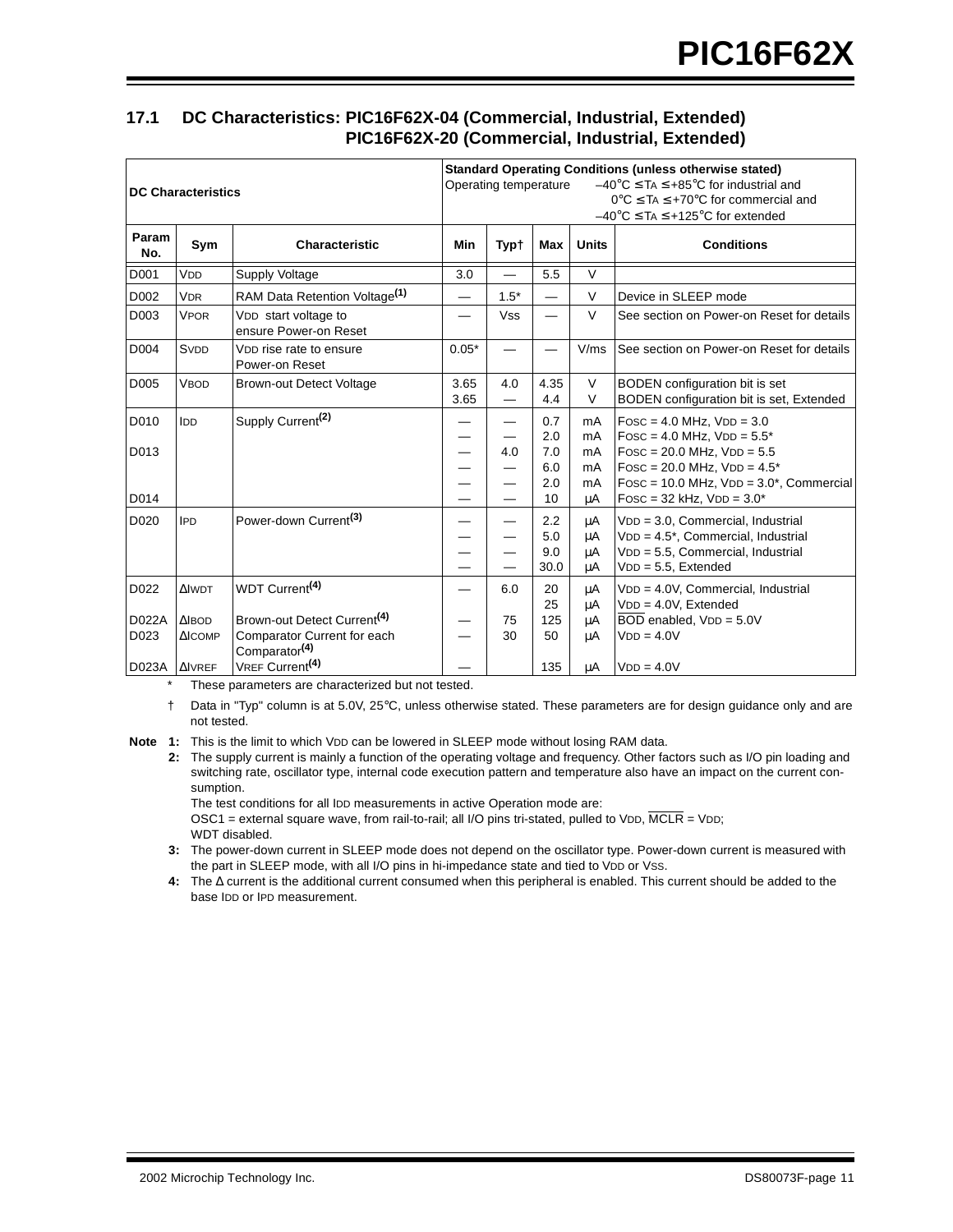# <span id="page-10-0"></span>**17.1 DC Characteristics: PIC16F62X-04 (Commercial, Industrial, Extended) PIC16F62X-20 (Commercial, Industrial, Extended)**

| <b>DC Characteristics</b> |                                             |                                                                                                     | <b>Standard Operating Conditions (unless otherwise stated)</b><br>$-40^{\circ}$ C $\leq$ TA $\leq$ +85°C for industrial and<br>Operating temperature<br>$0^{\circ}$ C $\leq$ TA $\leq$ +70 $^{\circ}$ C for commercial and<br>$-40^{\circ}$ C $\leq$ TA $\leq$ +125 $^{\circ}$ C for extended |             |                                 |                            |                                                                                                                                                                                          |  |  |
|---------------------------|---------------------------------------------|-----------------------------------------------------------------------------------------------------|-----------------------------------------------------------------------------------------------------------------------------------------------------------------------------------------------------------------------------------------------------------------------------------------------|-------------|---------------------------------|----------------------------|------------------------------------------------------------------------------------------------------------------------------------------------------------------------------------------|--|--|
| Param<br>No.              | Sym                                         | Characteristic                                                                                      | Min                                                                                                                                                                                                                                                                                           | <b>Typt</b> | Max                             | <b>Units</b>               | <b>Conditions</b>                                                                                                                                                                        |  |  |
| D001                      | V <sub>DD</sub>                             | <b>Supply Voltage</b>                                                                               | 3.0                                                                                                                                                                                                                                                                                           |             | 5.5                             | $\vee$                     |                                                                                                                                                                                          |  |  |
| D002                      | <b>VDR</b>                                  | RAM Data Retention Voltage <sup>(1)</sup>                                                           |                                                                                                                                                                                                                                                                                               | $1.5*$      |                                 | $\vee$                     | Device in SLEEP mode                                                                                                                                                                     |  |  |
| D <sub>003</sub>          | <b>VPOR</b>                                 | VDD start voltage to<br>ensure Power-on Reset                                                       |                                                                                                                                                                                                                                                                                               | <b>Vss</b>  |                                 | $\vee$                     | See section on Power-on Reset for details                                                                                                                                                |  |  |
| D004                      | <b>SVDD</b>                                 | VDD rise rate to ensure<br>Power-on Reset                                                           | $0.05*$                                                                                                                                                                                                                                                                                       |             |                                 | V/ms                       | See section on Power-on Reset for details                                                                                                                                                |  |  |
| D005                      | <b>VBOD</b>                                 | <b>Brown-out Detect Voltage</b>                                                                     | 3.65<br>3.65                                                                                                                                                                                                                                                                                  | 4.0         | 4.35<br>4.4                     | $\vee$<br>$\vee$           | BODEN configuration bit is set<br>BODEN configuration bit is set, Extended                                                                                                               |  |  |
| D010<br>D013              | IDD                                         | Supply Current <sup>(2)</sup>                                                                       |                                                                                                                                                                                                                                                                                               | 4.0         | 0.7<br>2.0<br>7.0<br>6.0<br>2.0 | mA<br>mA<br>mA<br>mA<br>mA | $Fosc = 4.0 MHz$ , $VDD = 3.0$<br>$Fosc = 4.0$ MHz, $VDD = 5.5^*$<br>$Fosc = 20.0 MHz$ , $VDD = 5.5$<br>FOSC = $20.0$ MHz, $VDD = 4.5*$<br>FOSC = $10.0$ MHz, $VDD = 3.0^*$ , Commercial |  |  |
| D014                      |                                             |                                                                                                     |                                                                                                                                                                                                                                                                                               |             | 10                              | μA                         | $Fosc = 32$ kHz, $VDD = 3.0*$                                                                                                                                                            |  |  |
| D020                      | <b>IPD</b>                                  | Power-down Current <sup>(3)</sup>                                                                   |                                                                                                                                                                                                                                                                                               |             | 2.2<br>5.0<br>9.0<br>30.0       | μA<br>μA<br>μA<br>μA       | VDD = 3.0, Commercial, Industrial<br>$VDD = 4.5^*$ , Commercial, Industrial<br>VDD = 5.5, Commercial, Industrial<br>$VDD = 5.5$ , Extended                                               |  |  |
| D022                      | <b>AIWDT</b>                                | WDT Current <sup>(4)</sup>                                                                          |                                                                                                                                                                                                                                                                                               | 6.0         | 20<br>25                        | μA<br>μA                   | VDD = 4.0V, Commercial, Industrial<br>$VDD = 4.0V$ , Extended                                                                                                                            |  |  |
| D022A<br>D023             | $\triangle$ <b>BOD</b><br>$\triangle$ ICOMP | Brown-out Detect Current <sup>(4)</sup><br>Comparator Current for each<br>Comparator <sup>(4)</sup> |                                                                                                                                                                                                                                                                                               | 75<br>30    | 125<br>50                       | μA<br>μA                   | BOD enabled, VDD = 5.0V<br>$VDD = 4.0V$                                                                                                                                                  |  |  |
| D023A                     | $\Delta$ VREF                               | VREF Current <sup>(4)</sup>                                                                         |                                                                                                                                                                                                                                                                                               |             | 135                             | μA                         | $VDD = 4.0V$                                                                                                                                                                             |  |  |

These parameters are characterized but not tested.

† Data in "Typ" column is at 5.0V, 25°C, unless otherwise stated. These parameters are for design guidance only and are not tested.

Note 1: This is the limit to which VDD can be lowered in SLEEP mode without losing RAM data.

**2:** The supply current is mainly a function of the operating voltage and frequency. Other factors such as I/O pin loading and switching rate, oscillator type, internal code execution pattern and temperature also have an impact on the current consumption.

The test conditions for all IDD measurements in active Operation mode are:

OSC1 = external square wave, from rail-to-rail; all I/O pins tri-stated, pulled to VDD,  $\overline{MCLR}$  = VDD; WDT disabled.

**3:** The power-down current in SLEEP mode does not depend on the oscillator type. Power-down current is measured with the part in SLEEP mode, with all I/O pins in hi-impedance state and tied to VDD or VSS.

**4:** The ∆ current is the additional current consumed when this peripheral is enabled. This current should be added to the base IDD or IPD measurement.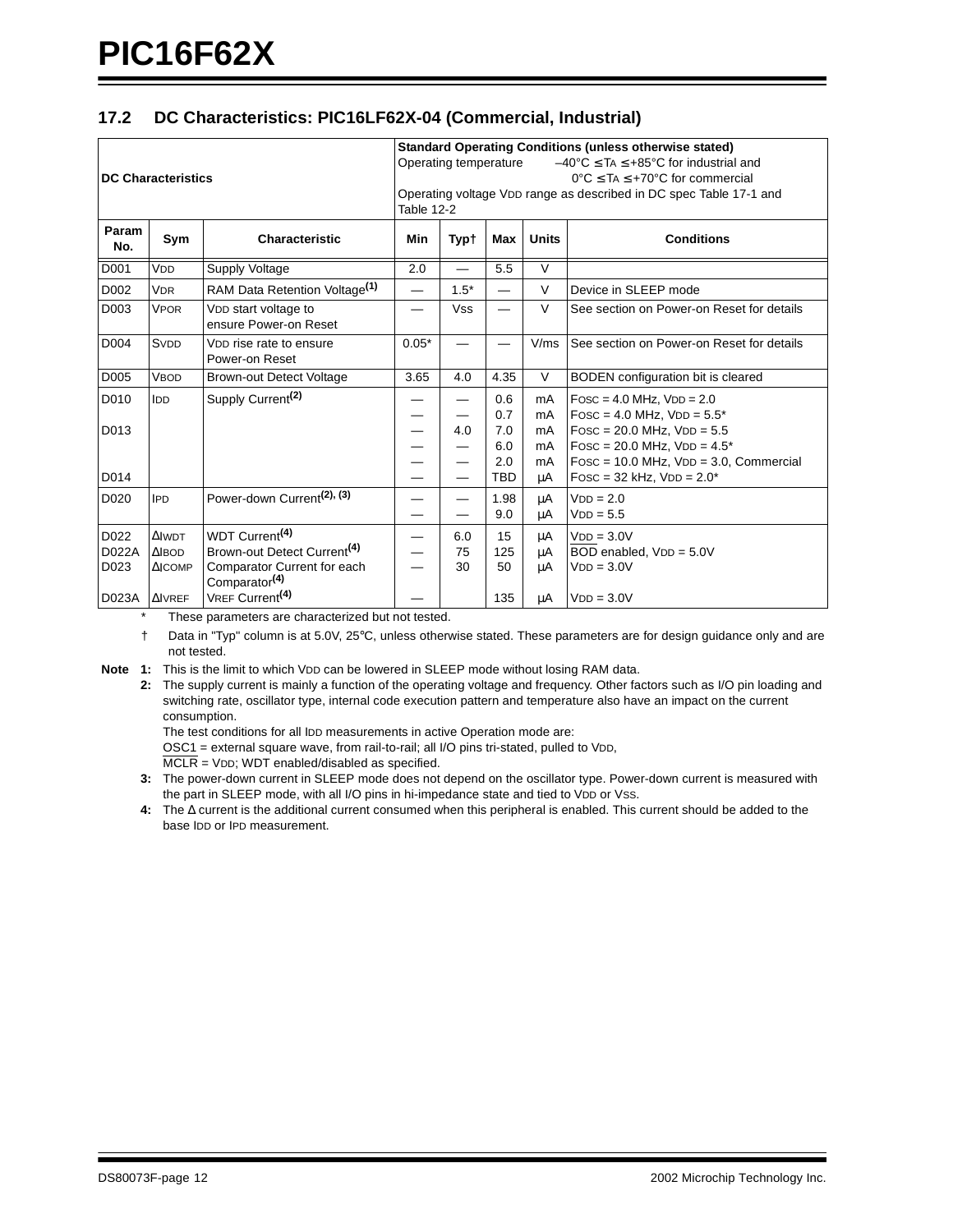# <span id="page-11-0"></span>**17.2 DC Characteristics: PIC16LF62X-04 (Commercial, Industrial)**

| <b>DC Characteristics</b>      |                                                                    |                                                                                                                                                                  | <b>Standard Operating Conditions (unless otherwise stated)</b><br>$-40^{\circ}$ C $\leq$ TA $\leq$ +85°C for industrial and<br>Operating temperature<br>$0^{\circ}$ C $\leq$ TA $\leq$ +70 $^{\circ}$ C for commercial<br>Operating voltage VDD range as described in DC spec Table 17-1 and<br>Table 12-2 |                                 |                          |                         |                                                                                                                                        |  |  |
|--------------------------------|--------------------------------------------------------------------|------------------------------------------------------------------------------------------------------------------------------------------------------------------|------------------------------------------------------------------------------------------------------------------------------------------------------------------------------------------------------------------------------------------------------------------------------------------------------------|---------------------------------|--------------------------|-------------------------|----------------------------------------------------------------------------------------------------------------------------------------|--|--|
| Param<br>No.                   | Sym                                                                | Characteristic                                                                                                                                                   | Min                                                                                                                                                                                                                                                                                                        | <b>Typt</b>                     | Max                      | <b>Units</b>            | <b>Conditions</b>                                                                                                                      |  |  |
| D001                           | VDD                                                                | <b>Supply Voltage</b>                                                                                                                                            | 2.0                                                                                                                                                                                                                                                                                                        |                                 | 5.5                      | $\overline{\mathsf{v}}$ |                                                                                                                                        |  |  |
| D002                           | <b>VDR</b>                                                         | RAM Data Retention Voltage <sup>(1)</sup>                                                                                                                        | —                                                                                                                                                                                                                                                                                                          | $1.5*$                          |                          | $\vee$                  | Device in SLEEP mode                                                                                                                   |  |  |
| D003                           | <b>VPOR</b>                                                        | VDD start voltage to<br>ensure Power-on Reset                                                                                                                    |                                                                                                                                                                                                                                                                                                            | <b>Vss</b>                      |                          | $\vee$                  | See section on Power-on Reset for details                                                                                              |  |  |
| D004                           | SVDD                                                               | V <sub>D</sub> rise rate to ensure<br>Power-on Reset                                                                                                             | $0.05*$                                                                                                                                                                                                                                                                                                    |                                 |                          | V/ms                    | See section on Power-on Reset for details                                                                                              |  |  |
| D005                           | <b>VBOD</b>                                                        | <b>Brown-out Detect Voltage</b>                                                                                                                                  | 3.65                                                                                                                                                                                                                                                                                                       | 4.0                             | 4.35                     | $\vee$                  | BODEN configuration bit is cleared                                                                                                     |  |  |
| D010<br>D013                   | IDD                                                                | Supply Current <sup>(2)</sup>                                                                                                                                    |                                                                                                                                                                                                                                                                                                            | $\overline{\phantom{0}}$<br>4.0 | 0.6<br>0.7<br>7.0<br>6.0 | mA<br>mA<br>mA<br>mA    | $Fosc = 4.0$ MHz, $VDD = 2.0$<br>$Fosc = 4.0$ MHz, $VDD = 5.5^*$<br>$Fosc = 20.0$ MHz, $VDD = 5.5$<br>$Fosc = 20.0$ MHz, $VDD = 4.5^*$ |  |  |
| D014                           |                                                                    |                                                                                                                                                                  |                                                                                                                                                                                                                                                                                                            |                                 | 2.0<br><b>TBD</b>        | mA<br>μA                | $Fosc = 10.0 MHz$ , $VDD = 3.0$ , Commercial<br>$Fosc = 32$ kHz, $VDD = 2.0*$                                                          |  |  |
| D020                           | <b>IPD</b>                                                         | Power-down Current <sup>(2), (3)</sup>                                                                                                                           |                                                                                                                                                                                                                                                                                                            | $\overline{\phantom{0}}$        | 1.98<br>9.0              | μA<br>μA                | $VDD = 2.0$<br>$VDD = 5.5$                                                                                                             |  |  |
| D022<br>D022A<br>D023<br>D023A | <b>AIWDT</b><br><b>AIBOD</b><br>$\triangle$ ICOMP<br><b>AIVREF</b> | WDT Current <sup>(4)</sup><br>Brown-out Detect Current <sup>(4)</sup><br>Comparator Current for each<br>Comparator <sup>(4)</sup><br>VREF Current <sup>(4)</sup> |                                                                                                                                                                                                                                                                                                            | 6.0<br>75<br>30                 | 15<br>125<br>50<br>135   | μA<br>μA<br>μA<br>μA    | $VDD = 3.0V$<br>BOD enabled, VDD = 5.0V<br>$VDD = 3.0V$<br>$VDD = 3.0V$                                                                |  |  |

These parameters are characterized but not tested.

† Data in "Typ" column is at 5.0V, 25°C, unless otherwise stated. These parameters are for design guidance only and are not tested.

**Note 1:** This is the limit to which VDD can be lowered in SLEEP mode without losing RAM data.

**2:** The supply current is mainly a function of the operating voltage and frequency. Other factors such as I/O pin loading and switching rate, oscillator type, internal code execution pattern and temperature also have an impact on the current consumption.

The test conditions for all IDD measurements in active Operation mode are:

OSC1 = external square wave, from rail-to-rail; all I/O pins tri-stated, pulled to VDD,

 $\overline{\text{MCLR}}$  = VDD; WDT enabled/disabled as specified.

**3:** The power-down current in SLEEP mode does not depend on the oscillator type. Power-down current is measured with the part in SLEEP mode, with all I/O pins in hi-impedance state and tied to VDD or Vss.

**4:** The ∆ current is the additional current consumed when this peripheral is enabled. This current should be added to the base IDD or IPD measurement.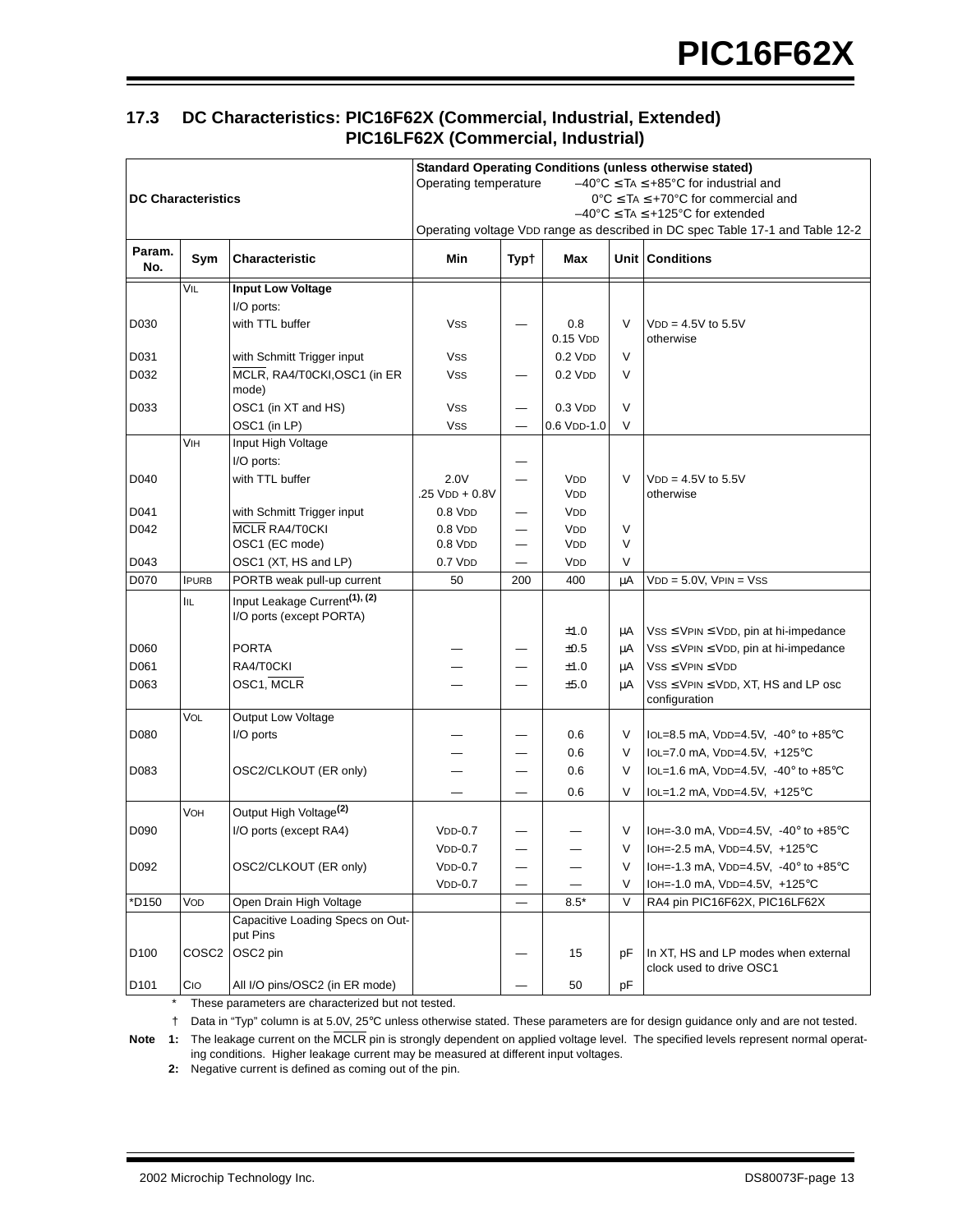# **17.3 DC Characteristics: PIC16F62X (Commercial, Industrial, Extended) PIC16LF62X (Commercial, Industrial)**

| <b>DC Characteristics</b> |                   |                                           | <b>Standard Operating Conditions (unless otherwise stated)</b><br>Operating temperature<br>$-40^{\circ}$ C $\leq$ TA $\leq$ +85°C for industrial and<br>$0^{\circ}$ C $\leq$ TA $\leq$ +70 $^{\circ}$ C for commercial and<br>$-40^{\circ}$ C $\leq$ TA $\leq$ +125°C for extended<br>Operating voltage VDD range as described in DC spec Table 17-1 and Table 12-2 |                          |                          |    |                                                           |  |  |  |
|---------------------------|-------------------|-------------------------------------------|---------------------------------------------------------------------------------------------------------------------------------------------------------------------------------------------------------------------------------------------------------------------------------------------------------------------------------------------------------------------|--------------------------|--------------------------|----|-----------------------------------------------------------|--|--|--|
| Param.<br>No.             | Sym               | Characteristic                            | Min                                                                                                                                                                                                                                                                                                                                                                 | Typ†                     | Max                      |    | Unit Conditions                                           |  |  |  |
|                           | VIL               | <b>Input Low Voltage</b>                  |                                                                                                                                                                                                                                                                                                                                                                     |                          |                          |    |                                                           |  |  |  |
|                           |                   | I/O ports:                                |                                                                                                                                                                                                                                                                                                                                                                     |                          |                          |    |                                                           |  |  |  |
| D030                      |                   | with TTL buffer                           | <b>VSS</b>                                                                                                                                                                                                                                                                                                                                                          |                          | 0.8                      | V  | $VDD = 4.5V$ to 5.5V                                      |  |  |  |
|                           |                   |                                           |                                                                                                                                                                                                                                                                                                                                                                     |                          | $0.15$ V <sub>D</sub>    |    | otherwise                                                 |  |  |  |
| D031                      |                   | with Schmitt Trigger input                | Vss                                                                                                                                                                                                                                                                                                                                                                 |                          | $0.2$ V <sub>D</sub> $D$ | V  |                                                           |  |  |  |
| D032                      |                   | MCLR, RA4/T0CKI, OSC1 (in ER<br>mode)     | Vss                                                                                                                                                                                                                                                                                                                                                                 |                          | $0.2$ V <sub>D</sub> $D$ | V  |                                                           |  |  |  |
| D033                      |                   | OSC1 (in XT and HS)                       | Vss                                                                                                                                                                                                                                                                                                                                                                 |                          | $0.3$ V <sub>D</sub> $D$ | V  |                                                           |  |  |  |
|                           |                   | OSC1 (in LP)                              | Vss                                                                                                                                                                                                                                                                                                                                                                 |                          | 0.6 VDD-1.0              | V  |                                                           |  |  |  |
|                           | VIH               | Input High Voltage                        |                                                                                                                                                                                                                                                                                                                                                                     |                          |                          |    |                                                           |  |  |  |
|                           |                   | I/O ports:                                |                                                                                                                                                                                                                                                                                                                                                                     |                          |                          |    |                                                           |  |  |  |
| D040                      |                   | with TTL buffer                           | 2.0V<br>.25 VDD + 0.8V                                                                                                                                                                                                                                                                                                                                              |                          | <b>VDD</b>               | V  | $VDD = 4.5V$ to 5.5V<br>otherwise                         |  |  |  |
| D041                      |                   | with Schmitt Trigger input                | $0.8$ V <sub>D</sub> $D$                                                                                                                                                                                                                                                                                                                                            |                          | <b>VDD</b><br><b>VDD</b> |    |                                                           |  |  |  |
| D042                      |                   | MCLR RA4/T0CKI                            | $0.8$ V <sub>D</sub> $D$                                                                                                                                                                                                                                                                                                                                            | $\overline{\phantom{0}}$ | <b>VDD</b>               | V  |                                                           |  |  |  |
|                           |                   | OSC1 (EC mode)                            | $0.8$ V <sub>D</sub> $D$                                                                                                                                                                                                                                                                                                                                            |                          | <b>VDD</b>               | V  |                                                           |  |  |  |
| D043                      |                   | OSC1 (XT, HS and LP)                      | $0.7$ V <sub>D</sub> $D$                                                                                                                                                                                                                                                                                                                                            |                          | <b>VDD</b>               | V  |                                                           |  |  |  |
| D070                      | <b>IPURB</b>      | PORTB weak pull-up current                | 50                                                                                                                                                                                                                                                                                                                                                                  | 200                      | 400                      | μA | $VDD = 5.0V$ , $VPIN = VSS$                               |  |  |  |
|                           | IIL               | Input Leakage Current <sup>(1), (2)</sup> |                                                                                                                                                                                                                                                                                                                                                                     |                          |                          |    |                                                           |  |  |  |
|                           |                   | I/O ports (except PORTA)                  |                                                                                                                                                                                                                                                                                                                                                                     |                          |                          |    |                                                           |  |  |  |
|                           |                   |                                           |                                                                                                                                                                                                                                                                                                                                                                     |                          | ±1.0                     | μA | $VSS \leq VPIN \leq VDD$ , pin at hi-impedance            |  |  |  |
| D060                      |                   | PORTA                                     |                                                                                                                                                                                                                                                                                                                                                                     |                          | ±0.5                     | μA | $VSS \leq VPIN \leq VDD$ , pin at hi-impedance            |  |  |  |
| D061                      |                   | RA4/T0CKI                                 |                                                                                                                                                                                                                                                                                                                                                                     |                          | ±1.0                     | μA | $VSS \leq VPIN \leq VDD$                                  |  |  |  |
| D063                      |                   | OSC1, MCLR                                |                                                                                                                                                                                                                                                                                                                                                                     |                          | ±5.0                     | μA | $VSS \leq VPIN \leq VDD$ , XT, HS and LP osc              |  |  |  |
|                           | VOL               | Output Low Voltage                        |                                                                                                                                                                                                                                                                                                                                                                     |                          |                          |    | configuration                                             |  |  |  |
| D080                      |                   | I/O ports                                 |                                                                                                                                                                                                                                                                                                                                                                     |                          | 0.6                      | V  | IOL=8.5 mA, VDD=4.5V, $-40^{\circ}$ to $+85^{\circ}$ C    |  |  |  |
|                           |                   |                                           |                                                                                                                                                                                                                                                                                                                                                                     |                          | 0.6                      | V  | IOL=7.0 mA, VDD=4.5V, +125°C                              |  |  |  |
| D083                      |                   | OSC2/CLKOUT (ER only)                     |                                                                                                                                                                                                                                                                                                                                                                     |                          | 0.6                      | V  | IOL=1.6 mA, VDD=4.5V, -40° to +85°C                       |  |  |  |
|                           |                   |                                           |                                                                                                                                                                                                                                                                                                                                                                     |                          | 0.6                      | V  | IOL=1.2 mA, VDD=4.5V, $+125^{\circ}$ C                    |  |  |  |
|                           | VOH               | Output High Voltage <sup>(2)</sup>        |                                                                                                                                                                                                                                                                                                                                                                     |                          |                          |    |                                                           |  |  |  |
| D090                      |                   | I/O ports (except RA4)                    | $VDD-0.7$                                                                                                                                                                                                                                                                                                                                                           |                          |                          | V  | IOH=-3.0 mA, VDD=4.5V, -40° to +85°C                      |  |  |  |
|                           |                   |                                           | $VDD-0.7$                                                                                                                                                                                                                                                                                                                                                           |                          |                          | V. | IOH=-2.5 mA, VDD=4.5V, +125°C                             |  |  |  |
| D092                      |                   | OSC2/CLKOUT (ER only)                     | $VDD-0.7$                                                                                                                                                                                                                                                                                                                                                           | —                        |                          | V  | IOH=-1.3 mA, VDD=4.5V, -40 $^{\circ}$ to +85 $^{\circ}$ C |  |  |  |
|                           |                   |                                           | $VDD-0.7$                                                                                                                                                                                                                                                                                                                                                           | $\overline{\phantom{0}}$ |                          | V  | IOH=-1.0 mA, VDD=4.5V, +125°C                             |  |  |  |
| *D150                     | VOD               | Open Drain High Voltage                   |                                                                                                                                                                                                                                                                                                                                                                     |                          | $8.5*$                   | V  | RA4 pin PIC16F62X, PIC16LF62X                             |  |  |  |
|                           |                   | Capacitive Loading Specs on Out-          |                                                                                                                                                                                                                                                                                                                                                                     |                          |                          |    |                                                           |  |  |  |
|                           |                   | put Pins                                  |                                                                                                                                                                                                                                                                                                                                                                     |                          |                          |    |                                                           |  |  |  |
| D <sub>100</sub>          | COSC <sub>2</sub> | OSC2 pin                                  |                                                                                                                                                                                                                                                                                                                                                                     |                          | 15                       | рF | In XT, HS and LP modes when external                      |  |  |  |
|                           |                   |                                           |                                                                                                                                                                                                                                                                                                                                                                     |                          |                          |    | clock used to drive OSC1                                  |  |  |  |
| D <sub>101</sub>          | CIO               | All I/O pins/OSC2 (in ER mode)            |                                                                                                                                                                                                                                                                                                                                                                     |                          | 50                       | pF |                                                           |  |  |  |

\* These parameters are characterized but not tested.

† Data in "Typ" column is at 5.0V, 25°C unless otherwise stated. These parameters are for design guidance only and are not tested.

Note 1: The leakage current on the MCLR pin is strongly dependent on applied voltage level. The specified levels represent normal operating conditions. Higher leakage current may be measured at different input voltages.

**2:** Negative current is defined as coming out of the pin.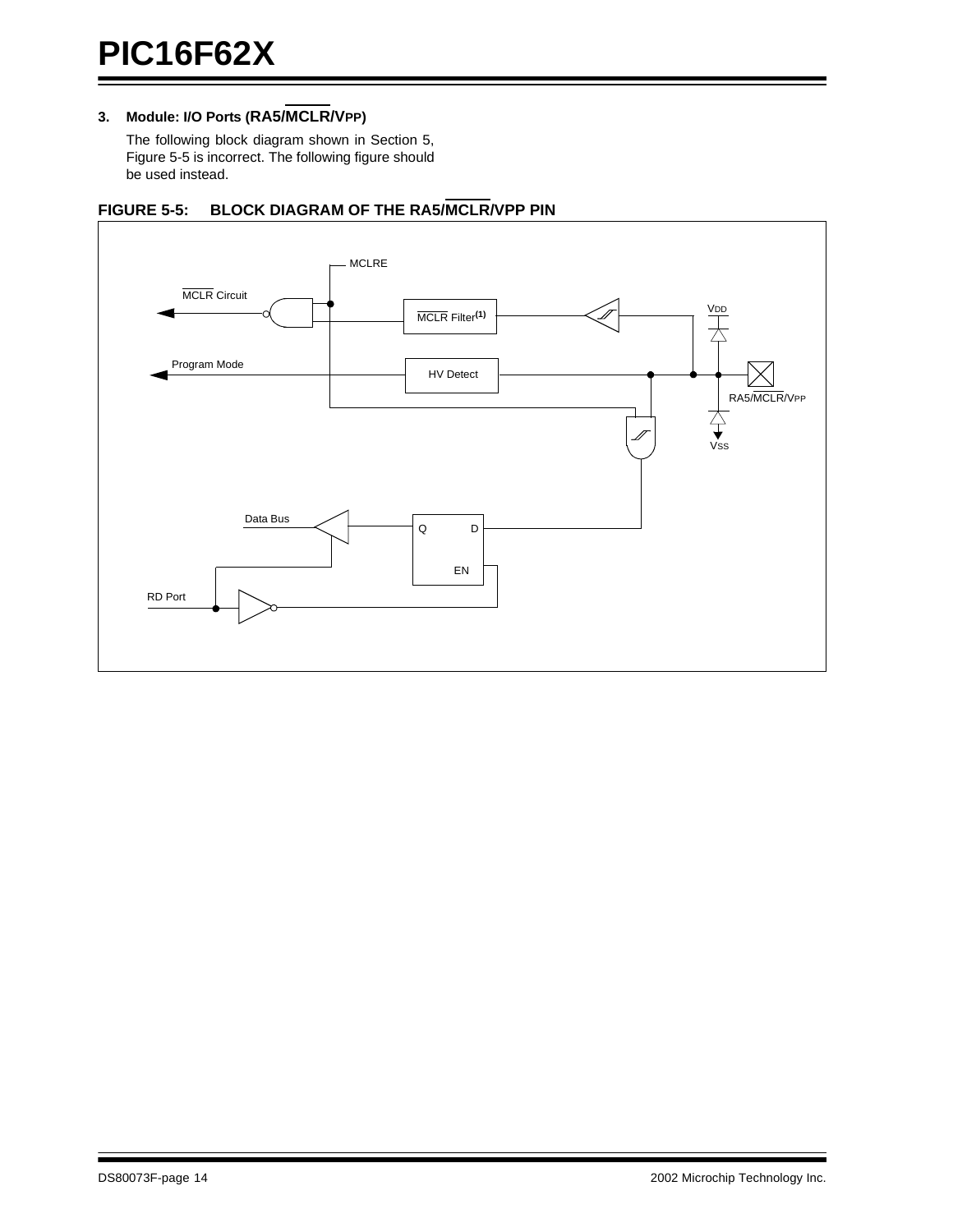# **3. Module: I/O Ports (RA5/MCLR/VPP)**

The following block diagram shown in Section 5, Figure 5-5 is incorrect. The following figure should be used instead.



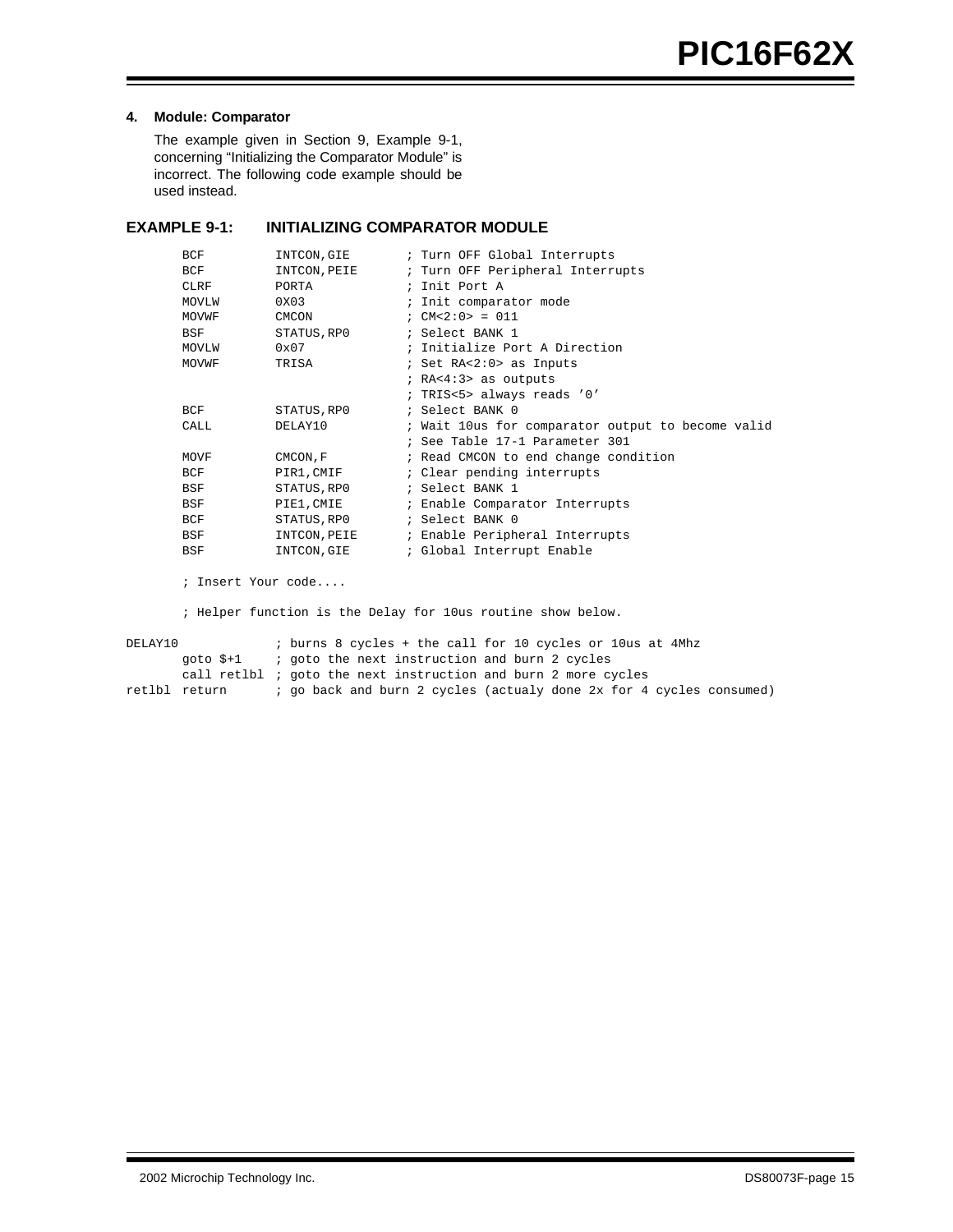# **4. Module: Comparator**

The example given in Section 9, Example 9-1, concerning "Initializing the Comparator Module" is incorrect. The following code example should be used instead.

# **EXAMPLE 9-1: INITIALIZING COMPARATOR MODULE**

| BCF   | INTCON, GIE  | ; Turn OFF Global Interrupts                      |
|-------|--------------|---------------------------------------------------|
| BCF   | INTCON, PEIE | ; Turn OFF Peripheral Interrupts                  |
| CLRF  | PORTA        | ; Init Port A                                     |
| MOVLW | 0X03         | ; Init comparator mode                            |
| MOVWF | <b>CMCON</b> | : $CM < 2:0 > = 011$                              |
| BSF   | STATUS, RPO  | ; Select BANK 1                                   |
| MOVLW | 0x07         | ; Initialize Port A Direction                     |
| MOVWF | TRISA        | ; Set RA<2:0> as Inputs                           |
|       |              | ; $RA < 4:3>$ as outputs                          |
|       |              | ; TRIS<5> always reads '0'                        |
| BCF   | STATUS, RP0  | ; Select BANK 0                                   |
| CALL. | DELAY10      | ; Wait 10us for comparator output to become valid |
|       |              | ; See Table 17-1 Parameter 301                    |
| MOVF  | CMCON, F     | ; Read CMCON to end change condition              |
| BCF   | PIR1, CMIF   | ; Clear pending interrupts                        |
| BSF   | STATUS, RPO  | ; Select BANK 1                                   |
| BSF   | PIE1, CMIE   | ; Enable Comparator Interrupts                    |
| BCF   | STATUS, RPO  | ; Select BANK 0                                   |
| BSF   | INTCON, PEIE | ; Enable Peripheral Interrupts                    |
| BSF   | INTCON, GIE  | ; Global Interrupt Enable                         |

; Insert Your code....

; Helper function is the Delay for 10us routine show below.

DELAY10 : burns 8 cycles + the call for 10 cycles or 10us at 4Mhz goto \$+1 ; goto the next instruction and burn 2 cycles call retlbl ; goto the next instruction and burn 2 more cycles<br>retlbl return ; go back and burn 2 cycles (actualy done 2x for 4 ; go back and burn 2 cycles (actualy done 2x for 4 cycles consumed)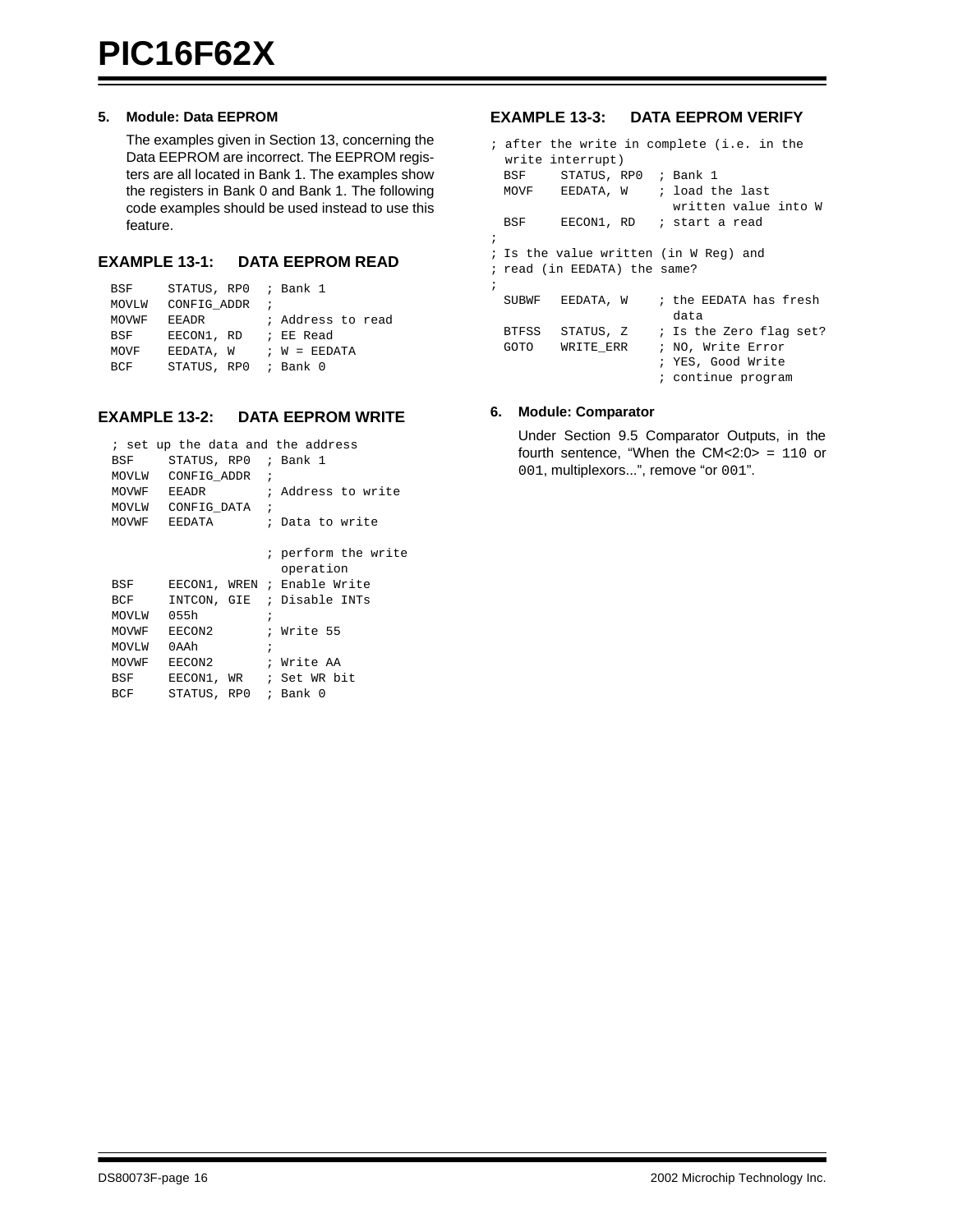# **5. Module: Data EEPROM**

The examples given in Section 13, concerning the Data EEPROM are incorrect. The EEPROM registers are all located in Bank 1. The examples show the registers in Bank 0 and Bank 1. The following code examples should be used instead to use this feature.

# **EXAMPLE 13-1: DATA EEPROM READ**

| BSF        | STATUS, RPO ; Bank 1 |                   |
|------------|----------------------|-------------------|
| MOVLW      | CONFIG ADDR          |                   |
| MOVWF      | <b>EEADR</b>         | ; Address to read |
| BSF        | EECON1, RD           | ; EE Read         |
| MOVF       | EEDATA, W            | $: W = EEDATA$    |
| <b>BCF</b> | STATUS, RPO ; Bank 0 |                   |

# **EXAMPLE 13-2: DATA EEPROM WRITE**

|       | ; set up the data and the address |                             |
|-------|-----------------------------------|-----------------------------|
|       | BSF STATUS, RPO ; Bank 1          |                             |
|       | MOVLW CONFIG ADDR ;               |                             |
|       | MOVWF EEADR                       | ; Address to write          |
|       | MOVLW CONFIG DATA ;               |                             |
|       | MOVWF EEDATA                      | ; Data to write             |
|       |                                   |                             |
|       |                                   | ; perform the write         |
|       |                                   | operation                   |
| BSF   |                                   | EECON1, WREN ; Enable Write |
| BCF   |                                   | INTCON, GIE ; Disable INTs  |
| MOVLW | 055h                              | $\ddot{i}$                  |
| MOVWF | EECON2                            | ; Write 55                  |
| MOVLW | 0 A A h                           | $\ddot{i}$                  |
| MOVWF | EECON2                            | ; Write AA                  |
| BSF   |                                   | EECON1, WR ; Set WR bit     |
| BCF   | STATUS, RPO ; Bank 0              |                             |
|       |                                   |                             |

# **EXAMPLE 13-3: DATA EEPROM VERIFY**

```
; after the write in complete (i.e. in the 
  write interrupt)
 BSF STATUS, RP0 ; Bank 1 
 MOVF EEDATA, W ; load the last
                       written value into W
 BSF EECON1, RD ; start a read
;
; Is the value written (in W Reg) and 
; read (in EEDATA) the same? 
;
 SUBWF EEDATA, W ; the EEDATA has fresh 
                       data
 BTFSS STATUS, Z ; Is the Zero flag set?
 GOTO WRITE ERR : NO, Write Error
                     ; YES, Good Write
                     ; continue program
```
# <span id="page-15-0"></span>**6. Module: Comparator**

Under Section 9.5 Comparator Outputs, in the fourth sentence, "When the CM<2:0> = 110 or 001, multiplexors...", remove "or 001".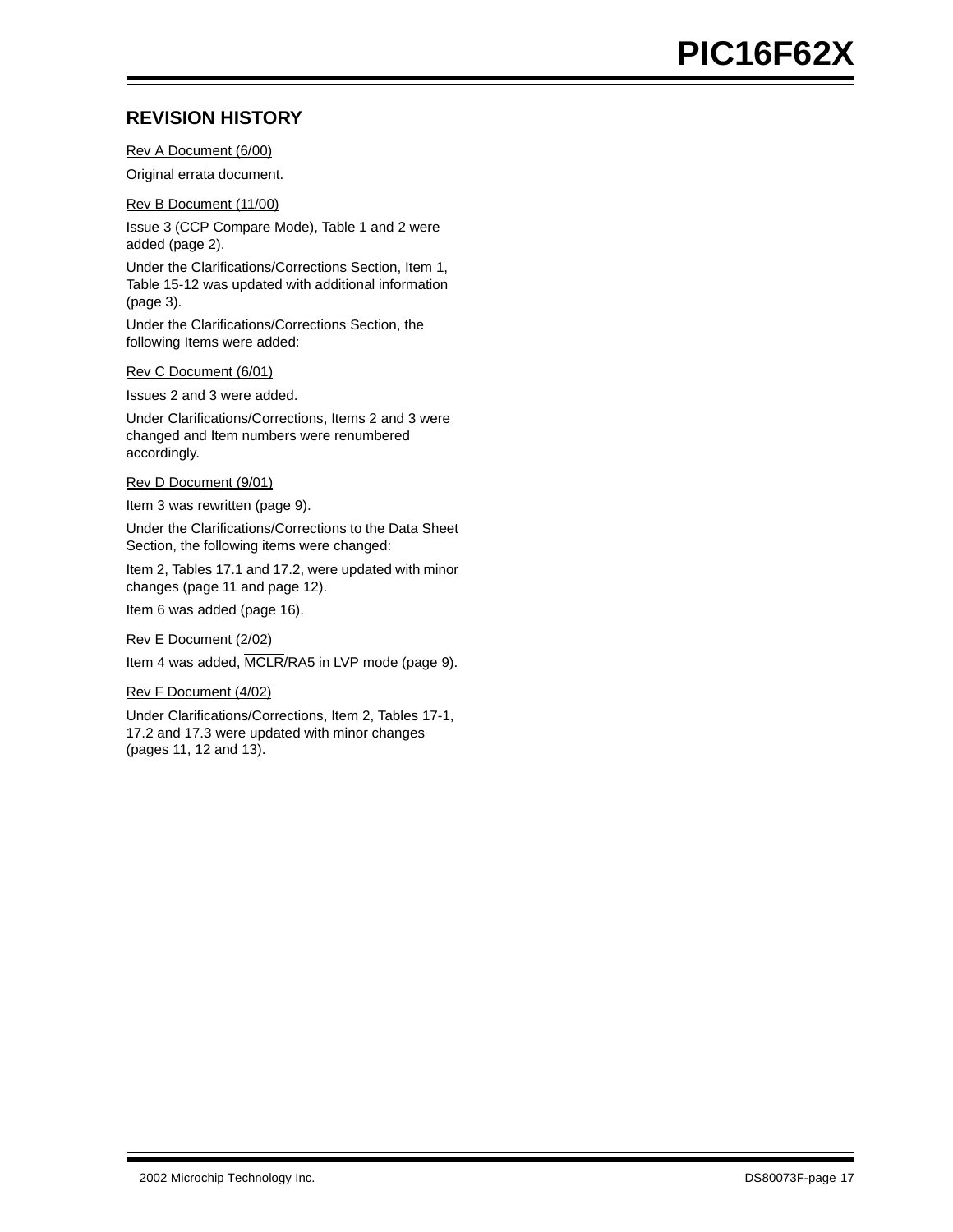# **REVISION HISTORY**

Rev A Document (6/00)

Original errata document.

Rev B Document (11/00)

Issue 3 (CCP Compare Mode), Table 1 and 2 were added (page 2).

Under the Clarifications/Corrections Section, Item 1, Table 15-12 was updated with additional information (page 3).

Under the Clarifications/Corrections Section, the following Items were added:

Rev C Document (6/01)

Issues 2 and 3 were added.

Under Clarifications/Corrections, Items 2 and 3 were changed and Item numbers were renumbered accordingly.

Rev D Document (9/01)

Item 3 was rewritten ([page 9](#page-8-0)).

Under the Clarifications/Corrections to the Data Sheet Section, the following items were changed:

Item 2, Tables 17.1 and 17.2, were updated with minor changes ([page 11](#page-10-0) and [page 12\)](#page-11-0).

Item 6 was added ([page 16\)](#page-15-0).

Rev E Document (2/02)

Item 4 was added, MCLR/RA5 in LVP mode (page 9).

Rev F Document (4/02)

Under Clarifications/Corrections, Item 2, Tables 17-1, 17.2 and 17.3 were updated with minor changes (pages 11, 12 and 13).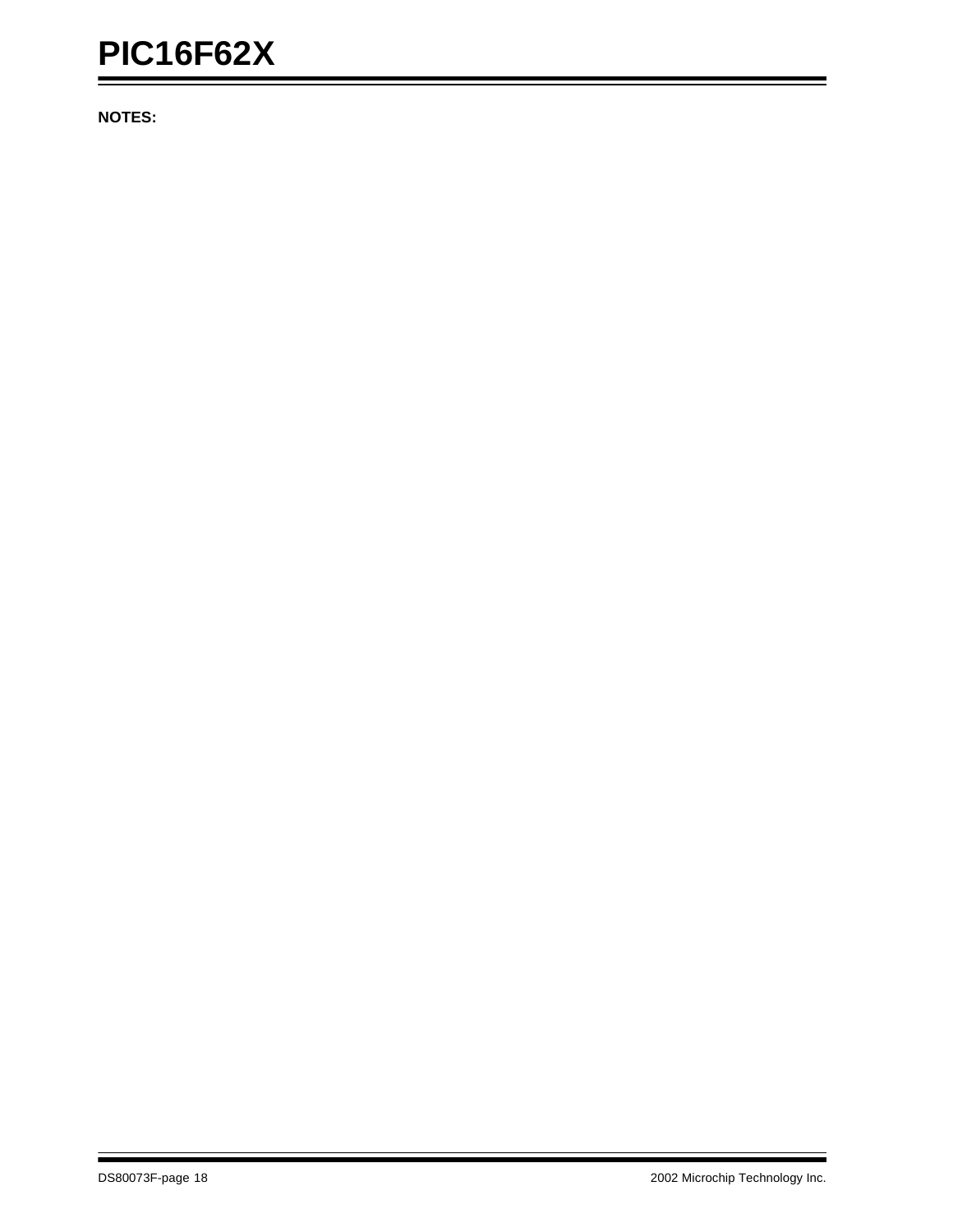**NOTES:**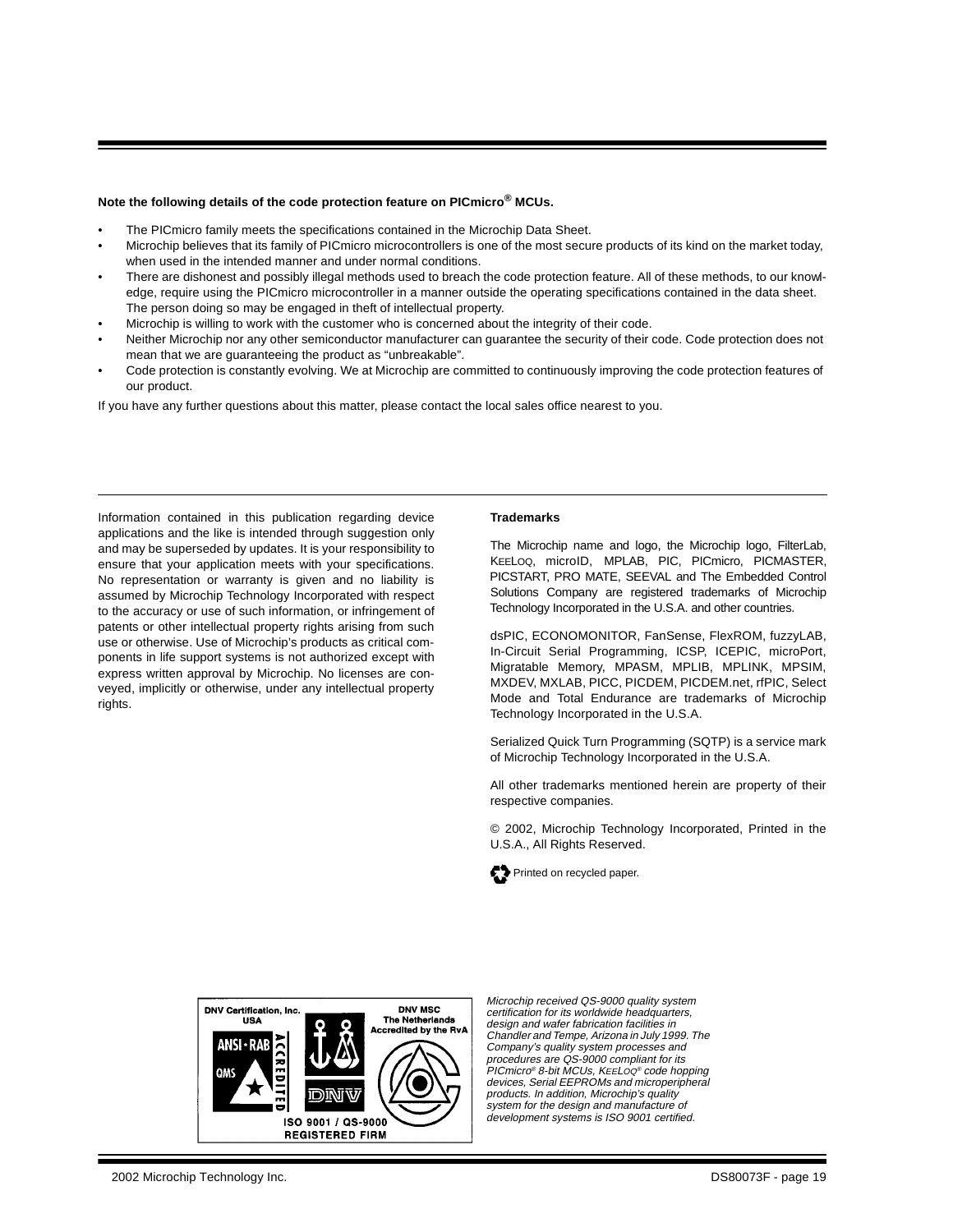### **Note the following details of the code protection feature on PICmicro® MCUs.**

- The PICmicro family meets the specifications contained in the Microchip Data Sheet.
- Microchip believes that its family of PICmicro microcontrollers is one of the most secure products of its kind on the market today, when used in the intended manner and under normal conditions.
- There are dishonest and possibly illegal methods used to breach the code protection feature. All of these methods, to our knowledge, require using the PICmicro microcontroller in a manner outside the operating specifications contained in the data sheet. The person doing so may be engaged in theft of intellectual property.
- Microchip is willing to work with the customer who is concerned about the integrity of their code.
- Neither Microchip nor any other semiconductor manufacturer can guarantee the security of their code. Code protection does not mean that we are guaranteeing the product as "unbreakable".
- Code protection is constantly evolving. We at Microchip are committed to continuously improving the code protection features of our product.

If you have any further questions about this matter, please contact the local sales office nearest to you.

Information contained in this publication regarding device applications and the like is intended through suggestion only and may be superseded by updates. It is your responsibility to ensure that your application meets with your specifications. No representation or warranty is given and no liability is assumed by Microchip Technology Incorporated with respect to the accuracy or use of such information, or infringement of patents or other intellectual property rights arising from such use or otherwise. Use of Microchip's products as critical components in life support systems is not authorized except with express written approval by Microchip. No licenses are conveyed, implicitly or otherwise, under any intellectual property rights

#### **Trademarks**

The Microchip name and logo, the Microchip logo, FilterLab, KEELOQ, microID, MPLAB, PIC, PICmicro, PICMASTER, PICSTART, PRO MATE, SEEVAL and The Embedded Control Solutions Company are registered trademarks of Microchip Technology Incorporated in the U.S.A. and other countries.

dsPIC, ECONOMONITOR, FanSense, FlexROM, fuzzyLAB, In-Circuit Serial Programming, ICSP, ICEPIC, microPort, Migratable Memory, MPASM, MPLIB, MPLINK, MPSIM, MXDEV, MXLAB, PICC, PICDEM, PICDEM.net, rfPIC, Select Mode and Total Endurance are trademarks of Microchip Technology Incorporated in the U.S.A.

Serialized Quick Turn Programming (SQTP) is a service mark of Microchip Technology Incorporated in the U.S.A.

All other trademarks mentioned herein are property of their respective companies.

© 2002, Microchip Technology Incorporated, Printed in the U.S.A., All Rights Reserved.





Microchip received QS-9000 quality system certification for its worldwide headquarters. design and wafer fabrication facilities in Chandler and Tempe, Arizona in July 1999. The Company's quality system processes and procedures are QS-9000 compliant for its PICmicro® 8-bit MCUs, KEELOQ® code hopping devices, Serial EEPROMs and microperipheral products. In addition, Microchip's quality system for the design and manufacture of development systems is ISO 9001 certified.